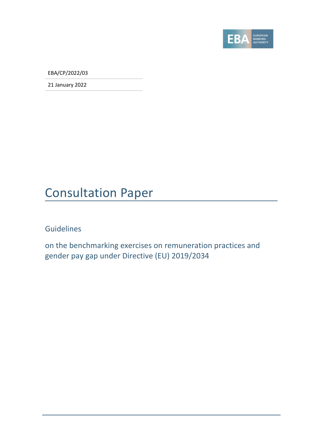

EBA/CP/2022/03

21 January 2022

### Consultation Paper

#### Guidelines

on the benchmarking exercises on remuneration practices and gender pay gap under Directive (EU) 2019/2034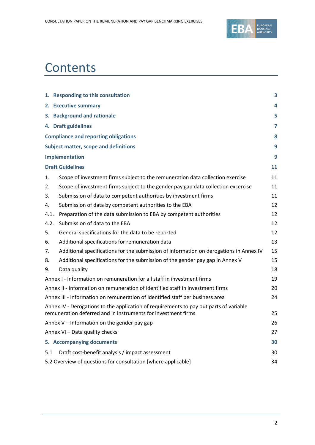

## **Contents**

|      | 1. Responding to this consultation                                                                                                                      | 3  |
|------|---------------------------------------------------------------------------------------------------------------------------------------------------------|----|
|      | 2. Executive summary                                                                                                                                    | 4  |
|      | 3. Background and rationale                                                                                                                             | 5  |
|      | 4. Draft guidelines                                                                                                                                     | 7  |
|      | <b>Compliance and reporting obligations</b>                                                                                                             | 8  |
|      | <b>Subject matter, scope and definitions</b>                                                                                                            | 9  |
|      | Implementation                                                                                                                                          | 9  |
|      | <b>Draft Guidelines</b>                                                                                                                                 | 11 |
| 1.   | Scope of investment firms subject to the remuneration data collection exercise                                                                          | 11 |
| 2.   | Scope of investment firms subject to the gender pay gap data collection excercise                                                                       | 11 |
| 3.   | Submission of data to competent authorities by investment firms                                                                                         | 11 |
| 4.   | Submission of data by competent authorities to the EBA                                                                                                  | 12 |
| 4.1. | Preparation of the data submission to EBA by competent authorities                                                                                      | 12 |
| 4.2. | Submission of data to the EBA                                                                                                                           | 12 |
| 5.   | General specifications for the data to be reported                                                                                                      | 12 |
| 6.   | Additional specifications for remuneration data                                                                                                         | 13 |
| 7.   | Additional specifications for the submission of information on derogations in Annex IV                                                                  | 15 |
| 8.   | Additional specifications for the submission of the gender pay gap in Annex V                                                                           | 15 |
| 9.   | Data quality                                                                                                                                            | 18 |
|      | Annex I - Information on remuneration for all staff in investment firms                                                                                 | 19 |
|      | Annex II - Information on remuneration of identified staff in investment firms                                                                          | 20 |
|      | Annex III - Information on remuneration of identified staff per business area                                                                           | 24 |
|      | Annex IV - Derogations to the application of requirements to pay out parts of variable<br>remuneration deferred and in instruments for investment firms | 25 |
|      | Annex V - Information on the gender pay gap                                                                                                             | 26 |
|      | Annex VI - Data quality checks                                                                                                                          | 27 |
|      | 5. Accompanying documents                                                                                                                               | 30 |
| 5.1  | Draft cost-benefit analysis / impact assessment                                                                                                         | 30 |
|      | 5.2 Overview of questions for consultation [where applicable]                                                                                           | 34 |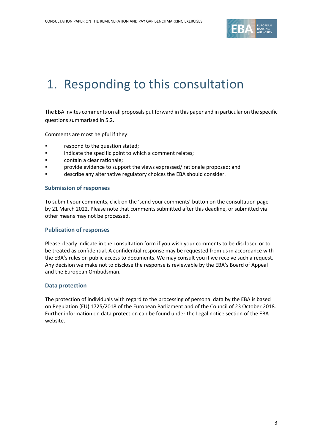

# 1. Responding to this consultation

The EBA invites comments on all proposals put forward in this paper and in particular on the specific questions summarised in 5.2.

Comments are most helpful if they:

- respond to the question stated;
- indicate the specific point to which a comment relates;
- contain a clear rationale;
- **•** provide evidence to support the views expressed/ rationale proposed; and
- describe any alternative regulatory choices the EBA should consider.

#### **Submission of responses**

To submit your comments, click on the 'send your comments' button on the consultation page by 21 March 2022. Please note that comments submitted after this deadline, or submitted via other means may not be processed.

#### **Publication of responses**

Please clearly indicate in the consultation form if you wish your comments to be disclosed or to be treated as confidential. A confidential response may be requested from us in accordance with the EBA's rules on public access to documents. We may consult you if we receive such a request. Any decision we make not to disclose the response is reviewable by the EBA's Board of Appeal and the European Ombudsman.

#### **Data protection**

The protection of individuals with regard to the processing of personal data by the EBA is based on Regulation (EU) 1725/2018 of the European Parliament and of the Council of 23 October 2018. Further information on data protection can be found under the [Legal notice section](http://eba.europa.eu/legal-notice) of the EBA website.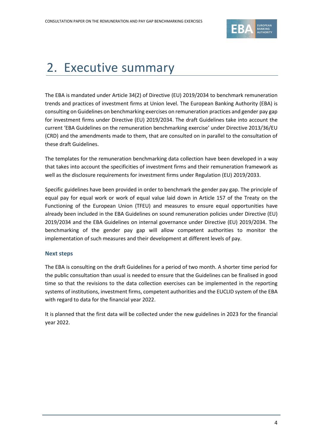

# 2. Executive summary

The EBA is mandated under Article 34(2) of Directive (EU) 2019/2034 to benchmark remuneration trends and practices of investment firms at Union level. The European Banking Authority (EBA) is consulting on Guidelines on benchmarking exercises on remuneration practices and gender pay gap for investment firms under Directive (EU) 2019/2034. The draft Guidelines take into account the current 'EBA Guidelines on the remuneration benchmarking exercise' under Directive 2013/36/EU (CRD) and the amendments made to them, that are consulted on in parallel to the consultation of these draft Guidelines.

The templates for the remuneration benchmarking data collection have been developed in a way that takes into account the specificities of investment firms and their remuneration framework as well as the disclosure requirements for investment firms under Regulation (EU) 2019/2033.

Specific guidelines have been provided in order to benchmark the gender pay gap. The principle of equal pay for equal work or work of equal value laid down in Article 157 of the Treaty on the Functioning of the European Union (TFEU) and measures to ensure equal opportunities have already been included in the EBA Guidelines on sound remuneration policies under Directive (EU) 2019/2034 and the EBA Guidelines on internal governance under Directive (EU) 2019/2034. The benchmarking of the gender pay gap will allow competent authorities to monitor the implementation of such measures and their development at different levels of pay.

#### **Next steps**

The EBA is consulting on the draft Guidelines for a period of two month. A shorter time period for the public consultation than usual is needed to ensure that the Guidelines can be finalised in good time so that the revisions to the data collection exercises can be implemented in the reporting systems of institutions, investment firms, competent authorities and the EUCLID system of the EBA with regard to data for the financial year 2022.

It is planned that the first data will be collected under the new guidelines in 2023 for the financial year 2022.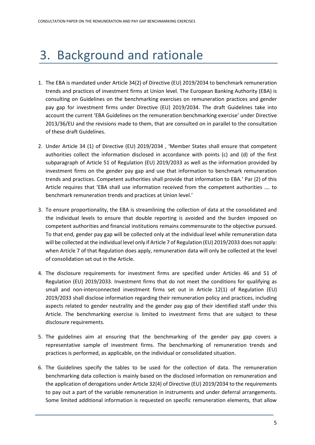# 3. Background and rationale

- 1. The EBA is mandated under Article 34(2) of Directive (EU) 2019/2034 to benchmark remuneration trends and practices of investment firms at Union level. The European Banking Authority (EBA) is consulting on Guidelines on the benchmarking exercises on remuneration practices and gender pay gap for investment firms under Directive (EU) 2019/2034. The draft Guidelines take into account the current 'EBA Guidelines on the remuneration benchmarking exercise' under Directive 2013/36/EU and the revisions made to them, that are consulted on in parallel to the consultation of these draft Guidelines.
- 2. Under Article 34 (1) of Directive (EU) 2019/2034 , 'Member States shall ensure that competent authorities collect the information disclosed in accordance with points (c) and (d) of the first subparagraph of Article 51 of Regulation (EU) 2019/2033 as well as the information provided by investment firms on the gender pay gap and use that information to benchmark remuneration trends and practices. Competent authorities shall provide that information to EBA.' Par (2) of this Article requires that 'EBA shall use information received from the competent authorities …. to benchmark remuneration trends and practices at Union level.'
- 3. To ensure proportionality, the EBA is streamlining the collection of data at the consolidated and the individual levels to ensure that double reporting is avoided and the burden imposed on competent authorities and financial institutions remains commensurate to the objective pursued. To that end, gender pay gap will be collected only at the individual level while remuneration data will be collected at the individual level only if Article 7 of Regulation (EU) 2019/2033 does not apply: when Article 7 of that Regulation does apply, remuneration data will only be collected at the level of consolidation set out in the Article.
- 4. The disclosure requirements for investment firms are specified under Articles 46 and 51 of Regulation (EU) 2019/2033. Investment firms that do not meet the conditions for qualifying as small and non-interconnected investment firms set out in Article 12(1) of Regulation (EU) 2019/2033 shall disclose information regarding their remuneration policy and practices, including aspects related to gender neutrality and the gender pay gap of their identified staff under this Article. The benchmarking exercise is limited to investment firms that are subject to these disclosure requirements.
- 5. The guidelines aim at ensuring that the benchmarking of the gender pay gap covers a representative sample of investment firms. The benchmarking of remuneration trends and practices is performed, as applicable, on the individual or consolidated situation.
- 6. The Guidelines specify the tables to be used for the collection of data. The remuneration benchmarking data collection is mainly based on the disclosed information on remuneration and the application of derogations under Article 32(4) of Directive (EU) 2019/2034 to the requirements to pay out a part of the variable remuneration in instruments and under deferral arrangements. Some limited additional information is requested on specific remuneration elements, that allow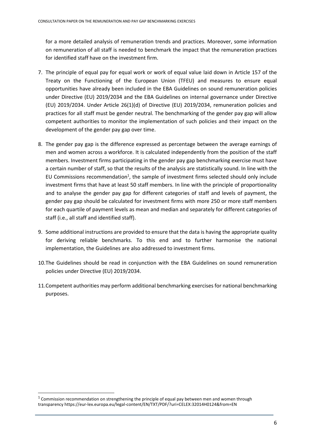for a more detailed analysis of remuneration trends and practices. Moreover, some information on remuneration of all staff is needed to benchmark the impact that the remuneration practices for identified staff have on the investment firm.

- 7. The principle of equal pay for equal work or work of equal value laid down in Article 157 of the Treaty on the Functioning of the European Union (TFEU) and measures to ensure equal opportunities have already been included in the EBA Guidelines on sound remuneration policies under Directive (EU) 2019/2034 and the EBA Guidelines on internal governance under Directive (EU) 2019/2034. Under Article 26(1)(d) of Directive (EU) 2019/2034, remuneration policies and practices for all staff must be gender neutral. The benchmarking of the gender pay gap will allow competent authorities to monitor the implementation of such policies and their impact on the development of the gender pay gap over time.
- 8. The gender pay gap is the difference expressed as percentage between the average earnings of men and women across a workforce. It is calculated independently from the position of the staff members. Investment firms participating in the gender pay gap benchmarking exercise must have a certain number of staff, so that the results of the analysis are statistically sound. In line with the EU Commissions recommendation<sup>1</sup>, the sample of investment firms selected should only include investment firms that have at least 50 staff members. In line with the principle of proportionality and to analyse the gender pay gap for different categories of staff and levels of payment, the gender pay gap should be calculated for investment firms with more 250 or more staff members for each quartile of payment levels as mean and median and separately for different categories of staff (i.e., all staff and identified staff).
- 9. Some additional instructions are provided to ensure that the data is having the appropriate quality for deriving reliable benchmarks. To this end and to further harmonise the national implementation, the Guidelines are also addressed to investment firms.
- 10.The Guidelines should be read in conjunction with the EBA Guidelines on sound remuneration policies under Directive (EU) 2019/2034.
- 11.Competent authorities may perform additional benchmarking exercises for national benchmarking purposes.

 $1$  Commission recommendation on strengthening the principle of equal pay between men and women through transparency https://eur-lex.europa.eu/legal-content/EN/TXT/PDF/?uri=CELEX:32014H0124&from=EN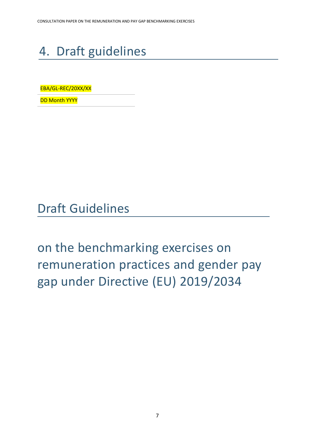# 4. Draft guidelines

EBA/GL-REC/20XX/XX

DD Month YYYY

Draft Guidelines

on the benchmarking exercises on remuneration practices and gender pay gap under Directive (EU) 2019/2034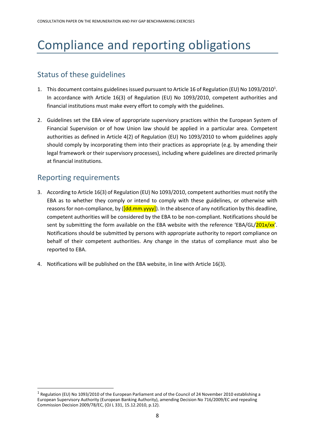# Compliance and reporting obligations

### Status of these guidelines

- 1. This document contains guidelines issued pursuant to Article 16 of Regulation (EU) No 1093/2010<sup>1</sup>. In accordance with Article 16(3) of Regulation (EU) No 1093/2010, competent authorities and financial institutions must make every effort to comply with the guidelines.
- 2. Guidelines set the EBA view of appropriate supervisory practices within the European System of Financial Supervision or of how Union law should be applied in a particular area. Competent authorities as defined in Article 4(2) of Regulation (EU) No 1093/2010 to whom guidelines apply should comply by incorporating them into their practices as appropriate (e.g. by amending their legal framework or their supervisory processes), including where guidelines are directed primarily at financial institutions.

#### Reporting requirements

- 3. According to Article 16(3) of Regulation (EU) No 1093/2010, competent authorities must notify the EBA as to whether they comply or intend to comply with these guidelines, or otherwise with reasons for non-compliance, by  $(\frac{Id}{d}mm.yyyy)$ . In the absence of any notification by this deadline, competent authorities will be considered by the EBA to be non-compliant. Notifications should be sent by submitting the form available on the EBA website with the reference 'EBA/GL/201x/xx'. Notifications should be submitted by persons with appropriate authority to report compliance on behalf of their competent authorities. Any change in the status of compliance must also be reported to EBA.
- 4. Notifications will be published on the EBA website, in line with Article 16(3).

<sup>&</sup>lt;sup>1</sup> Regulation (EU) No 1093/2010 of the European Parliament and of the Council of 24 November 2010 establishing a European Supervisory Authority (European Banking Authority), amending Decision No 716/2009/EC and repealing Commission Decision 2009/78/EC, (OJ L 331, 15.12.2010, p.12).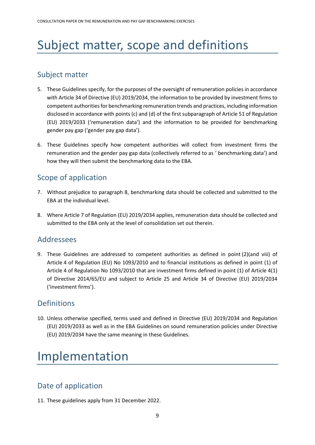# Subject matter, scope and definitions

#### Subject matter

- 5. These Guidelines specify, for the purposes of the oversight of remuneration policies in accordance with Article 34 of Directive (EU) 2019/2034, the information to be provided by investment firms to competent authorities for benchmarking remuneration trends and practices, including information disclosed in accordance with points (c) and (d) of the first subparagraph of Article 51 of Regulation (EU) 2019/2033 ('remuneration data') and the information to be provided for benchmarking gender pay gap ('gender pay gap data').
- 6. These Guidelines specify how competent authorities will collect from investment firms the remuneration and the gender pay gap data (collectively referred to as ' benchmarking data') and how they will then submit the benchmarking data to the EBA.

#### Scope of application

- 7. Without prejudice to paragraph 8, benchmarking data should be collected and submitted to the EBA at the individual level.
- 8. Where Article 7 of Regulation (EU) 2019/2034 applies, remuneration data should be collected and submitted to the EBA only at the level of consolidation set out therein.

#### Addressees

9. These Guidelines are addressed to competent authorities as defined in point (2)(and viii) of Article 4 of Regulation (EU) No 1093/2010 and to financial institutions as defined in point (1) of Article 4 of Regulation No 1093/2010 that are investment firms defined in point (1) of Article 4(1) of Directive 2014/65/EU and subject to Article 25 and Article 34 of Directive (EU) 2019/2034 ('investment firms').

### **Definitions**

10. Unless otherwise specified, terms used and defined in Directive (EU) 2019/2034 and Regulation (EU) 2019/2033 as well as in the EBA Guidelines on sound remuneration policies under Directive (EU) 2019/2034 have the same meaning in these Guidelines.

# Implementation

### Date of application

11. These guidelines apply from 31 December 2022.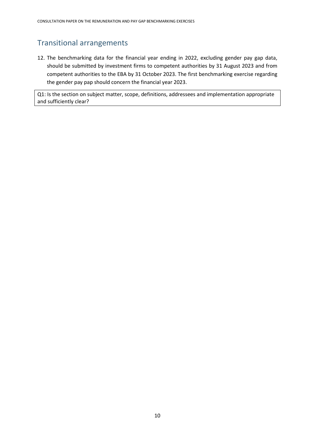#### Transitional arrangements

12. The benchmarking data for the financial year ending in 2022, excluding gender pay gap data, should be submitted by investment firms to competent authorities by 31 August 2023 and from competent authorities to the EBA by 31 October 2023. The first benchmarking exercise regarding the gender pay pap should concern the financial year 2023.

Q1: Is the section on subject matter, scope, definitions, addressees and implementation appropriate and sufficiently clear?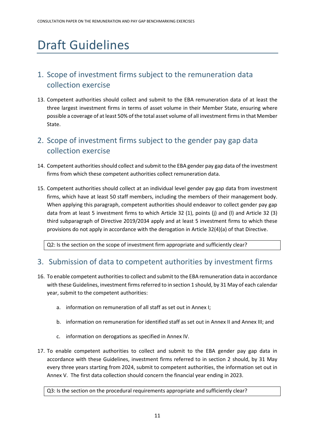# Draft Guidelines

### 1. Scope of investment firms subject to the remuneration data collection exercise

13. Competent authorities should collect and submit to the EBA remuneration data of at least the three largest investment firms in terms of asset volume in their Member State, ensuring where possible a coverage of at least 50% of the total asset volume of all investment firms in that Member State.

### 2. Scope of investment firms subject to the gender pay gap data collection exercise

- 14. Competent authorities should collect and submit to the EBA gender pay gap data of the investment firms from which these competent authorities collect remuneration data.
- 15. Competent authorities should collect at an individual level gender pay gap data from investment firms, which have at least 50 staff members, including the members of their management body. When applying this paragraph, competent authorities should endeavor to collect gender pay gap data from at least 5 investment firms to which Article 32 (1), points (j) and (l) and Article 32 (3) third subparagraph of Directive 2019/2034 apply and at least 5 investment firms to which these provisions do not apply in accordance with the derogation in Article 32(4)(a) of that Directive.

Q2: Is the section on the scope of investment firm appropriate and sufficiently clear?

#### 3. Submission of data to competent authorities by investment firms

- 16. To enable competent authorities to collect and submit to the EBA remuneration data in accordance with these Guidelines, investment firms referred to in section 1 should, by 31 May of each calendar year, submit to the competent authorities:
	- a. information on remuneration of all staff as set out in Annex I;
	- b. information on remuneration for identified staff as set out in Annex II and Annex III; and
	- c. information on derogations as specified in Annex IV.
- 17. To enable competent authorities to collect and submit to the EBA gender pay gap data in accordance with these Guidelines, investment firms referred to in section 2 should, by 31 May every three years starting from 2024, submit to competent authorities, the information set out in Annex V. The first data collection should concern the financial year ending in 2023.

Q3: Is the section on the procedural requirements appropriate and sufficiently clear?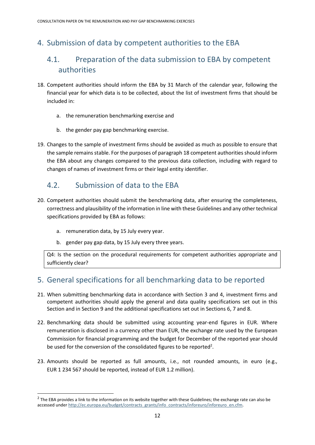### 4. Submission of data by competent authorities to the EBA

### 4.1. Preparation of the data submission to EBA by competent authorities

- 18. Competent authorities should inform the EBA by 31 March of the calendar year, following the financial year for which data is to be collected, about the list of investment firms that should be included in:
	- a. the remuneration benchmarking exercise and
	- b. the gender pay gap benchmarking exercise.
- 19. Changes to the sample of investment firms should be avoided as much as possible to ensure that the sample remains stable. For the purposes of paragraph 18 competent authorities should inform the EBA about any changes compared to the previous data collection, including with regard to changes of names of investment firms or their legal entity identifier.

#### 4.2. Submission of data to the EBA

- 20. Competent authorities should submit the benchmarking data, after ensuring the completeness, correctness and plausibility of the information in line with these Guidelines and any other technical specifications provided by EBA as follows:
	- a. remuneration data, by 15 July every year.
	- b. gender pay gap data, by 15 July every three years.

Q4: Is the section on the procedural requirements for competent authorities appropriate and sufficiently clear?

#### 5. General specifications for all benchmarking data to be reported

- 21. When submitting benchmarking data in accordance with Section 3 and 4, investment firms and competent authorities should apply the general and data quality specifications set out in this Section and in Section 9 and the additional specifications set out in Sections 6, 7 and 8.
- 22. Benchmarking data should be submitted using accounting year-end figures in EUR. Where remuneration is disclosed in a currency other than EUR, the exchange rate used by the European Commission for financial programming and the budget for December of the reported year should be used for the conversion of the consolidated figures to be reported<sup>2</sup>.
- 23. Amounts should be reported as full amounts, i.e., not rounded amounts, in euro (e.g., EUR 1 234 567 should be reported, instead of EUR 1.2 million).

 $2$  The EBA provides a link to the information on its website together with these Guidelines; the exchange rate can also be accessed unde[r http://ec.europa.eu/budget/contracts\\_grants/info\\_contracts/inforeuro/inforeuro\\_en.cfm.](http://ec.europa.eu/budget/contracts_grants/info_contracts/inforeuro/inforeuro_en.cfm)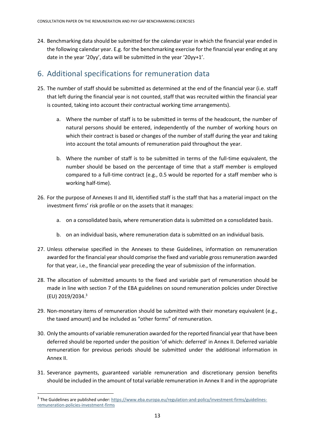24. Benchmarking data should be submitted for the calendar year in which the financial year ended in the following calendar year. E.g. for the benchmarking exercise for the financial year ending at any date in the year '20yy', data will be submitted in the year '20yy+1'.

#### 6. Additional specifications for remuneration data

- 25. The number of staff should be submitted as determined at the end of the financial year (i.e. staff that left during the financial year is not counted, staff that was recruited within the financial year is counted, taking into account their contractual working time arrangements).
	- a. Where the number of staff is to be submitted in terms of the headcount, the number of natural persons should be entered, independently of the number of working hours on which their contract is based or changes of the number of staff during the year and taking into account the total amounts of remuneration paid throughout the year.
	- b. Where the number of staff is to be submitted in terms of the full-time equivalent, the number should be based on the percentage of time that a staff member is employed compared to a full-time contract (e.g., 0.5 would be reported for a staff member who is working half-time).
- 26. For the purpose of Annexes II and III, identified staff is the staff that has a material impact on the investment firms' risk profile or on the assets that it manages:
	- a. on a consolidated basis, where remuneration data is submitted on a consolidated basis.
	- b. on an individual basis, where remuneration data is submitted on an individual basis.
- 27. Unless otherwise specified in the Annexes to these Guidelines, information on remuneration awarded for the financial year should comprise the fixed and variable gross remuneration awarded for that year, i.e., the financial year preceding the year of submission of the information.
- 28. The allocation of submitted amounts to the fixed and variable part of remuneration should be made in line with section 7 of the EBA guidelines on sound remuneration policies under Directive (EU) 2019/2034. 3
- 29. Non-monetary items of remuneration should be submitted with their monetary equivalent (e.g., the taxed amount) and be included as "other forms" of remuneration.
- 30. Only the amounts of variable remuneration awarded for the reported financial year that have been deferred should be reported under the position 'of which: deferred' in Annex II. Deferred variable remuneration for previous periods should be submitted under the additional information in Annex II.
- 31. Severance payments, guaranteed variable remuneration and discretionary pension benefits should be included in the amount of total variable remuneration in Annex II and in the appropriate

<sup>&</sup>lt;sup>3</sup> The Guidelines are published under[: https://www.eba.europa.eu/regulation-and-policy/investment-firms/guidelines](https://www.eba.europa.eu/regulation-and-policy/investment-firms/guidelines-remuneration-policies-investment-firms)[remuneration-policies-investment-firms](https://www.eba.europa.eu/regulation-and-policy/investment-firms/guidelines-remuneration-policies-investment-firms)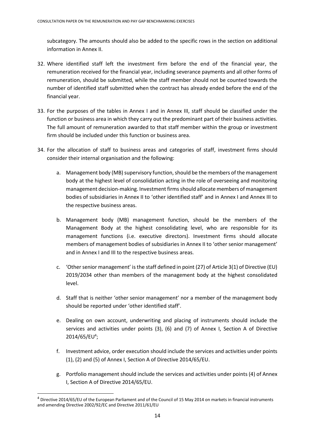subcategory. The amounts should also be added to the specific rows in the section on additional information in Annex II.

- 32. Where identified staff left the investment firm before the end of the financial year, the remuneration received for the financial year, including severance payments and all other forms of remuneration, should be submitted, while the staff member should not be counted towards the number of identified staff submitted when the contract has already ended before the end of the financial year.
- 33. For the purposes of the tables in Annex I and in Annex III, staff should be classified under the function or business area in which they carry out the predominant part of their business activities. The full amount of remuneration awarded to that staff member within the group or investment firm should be included under this function or business area.
- 34. For the allocation of staff to business areas and categories of staff, investment firms should consider their internal organisation and the following:
	- a. Management body (MB) supervisory function, should be the members of the management body at the highest level of consolidation acting in the role of overseeing and monitoring management decision-making. Investment firms should allocate members of management bodies of subsidiaries in Annex II to 'other identified staff' and in Annex I and Annex III to the respective business areas.
	- b. Management body (MB) management function, should be the members of the Management Body at the highest consolidating level, who are responsible for its management functions (i.e. executive directors). Investment firms should allocate members of management bodies of subsidiaries in Annex II to 'other senior management' and in Annex I and III to the respective business areas.
	- c. 'Other senior management' is the staff defined in point (27) of Article 3(1) of Directive (EU) 2019/2034 other than members of the management body at the highest consolidated level.
	- d. Staff that is neither 'other senior management' nor a member of the management body should be reported under 'other identified staff'.
	- e. Dealing on own account, underwriting and placing of instruments should include the services and activities under points (3), (6) and (7) of Annex I, Section A of Directive  $2014/65/EU<sup>4</sup>$ ;
	- f. Investment advice, order execution should include the services and activities under points (1), (2) and (5) of Annex I, Section A of Directive 2014/65/EU.
	- g. Portfolio management should include the services and activities under points (4) of Annex I, Section A of Directive 2014/65/EU.

 $4$  Directive 2014/65/EU of the European Parliament and of the Council of 15 May 2014 on markets in financial instruments and amending Directive 2002/92/EC and Directive 2011/61/EU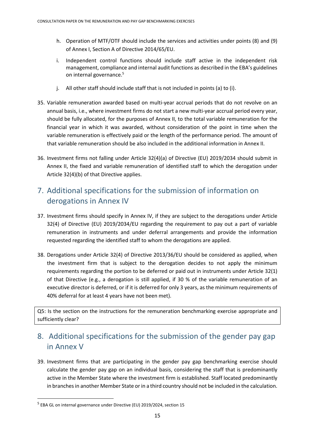- h. Operation of MTF/OTF should include the services and activities under points (8) and (9) of Annex I, Section A of Directive 2014/65/EU.
- i. Independent control functions should include staff active in the independent risk management, compliance and internal audit functions as described in the EBA's guidelines on internal governance.<sup>5</sup>
- j. All other staff should include staff that is not included in points (a) to (i).
- 35. Variable remuneration awarded based on multi-year accrual periods that do not revolve on an annual basis, i.e., where investment firms do not start a new multi-year accrual period every year, should be fully allocated, for the purposes of Annex II, to the total variable remuneration for the financial year in which it was awarded, without consideration of the point in time when the variable remuneration is effectively paid or the length of the performance period. The amount of that variable remuneration should be also included in the additional information in Annex II.
- 36. Investment firms not falling under Article 32(4)(a) of Directive (EU) 2019/2034 should submit in Annex II, the fixed and variable remuneration of identified staff to which the derogation under Article 32(4)(b) of that Directive applies.

### 7. Additional specifications for the submission of information on derogations in Annex IV

- 37. Investment firms should specify in Annex IV, if they are subject to the derogations under Article 32(4) of Directive (EU) 2019/2034/EU regarding the requirement to pay out a part of variable remuneration in instruments and under deferral arrangements and provide the information requested regarding the identified staff to whom the derogations are applied.
- 38. Derogations under Article 32(4) of Directive 2013/36/EU should be considered as applied, when the investment firm that is subject to the derogation decides to not apply the minimum requirements regarding the portion to be deferred or paid out in instruments under Article 32(1) of that Directive (e.g., a derogation is still applied, if 30 % of the variable remuneration of an executive director is deferred, or if it is deferred for only 3 years, as the minimum requirements of 40% deferral for at least 4 years have not been met).

Q5: Is the section on the instructions for the remuneration benchmarking exercise appropriate and sufficiently clear?

### 8. Additional specifications for the submission of the gender pay gap in Annex V

39. Investment firms that are participating in the gender pay gap benchmarking exercise should calculate the gender pay gap on an individual basis, considering the staff that is predominantly active in the Member State where the investment firm is established. Staff located predominantly in branches in another Member State or in a third country should not be included in the calculation.

<sup>&</sup>lt;sup>5</sup> EBA GL on internal governance under Directive (EU) 2019/2024, section 15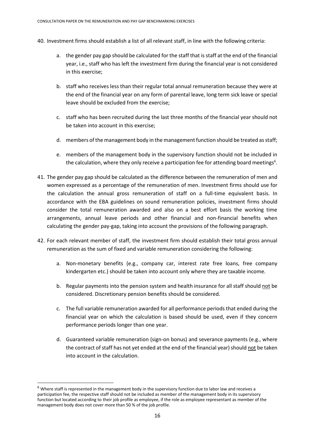- 40. Investment firms should establish a list of all relevant staff, in line with the following criteria:
	- a. the gender pay gap should be calculated for the staff that is staff at the end of the financial year, i.e., staff who has left the investment firm during the financial year is not considered in this exercise;
	- b. staff who receives less than their regular total annual remuneration because they were at the end of the financial year on any form of parental leave, long term sick leave or special leave should be excluded from the exercise;
	- c. staff who has been recruited during the last three months of the financial year should not be taken into account in this exercise;
	- d. members of the management body in the management function should be treated as staff;
	- e. members of the management body in the supervisory function should not be included in the calculation, where they only receive a participation fee for attending board meetings<sup>6</sup>.
- 41. The gender pay gap should be calculated as the difference between the remuneration of men and women expressed as a percentage of the remuneration of men. Investment firms should use for the calculation the annual gross remuneration of staff on a full-time equivalent basis. In accordance with the EBA guidelines on sound remuneration policies, investment firms should consider the total remuneration awarded and also on a best effort basis the working time arrangements, annual leave periods and other financial and non-financial benefits when calculating the gender pay-gap, taking into account the provisions of the following paragraph.
- 42. For each relevant member of staff, the investment firm should establish their total gross annual remuneration as the sum of fixed and variable remuneration considering the following:
	- a. Non-monetary benefits (e.g., company car, interest rate free loans, free company kindergarten etc.) should be taken into account only where they are taxable income.
	- b. Regular payments into the pension system and health insurance for all staff should not be considered. Discretionary pension benefits should be considered.
	- c. The full variable remuneration awarded for all performance periods that ended during the financial year on which the calculation is based should be used, even if they concern performance periods longer than one year.
	- d. Guaranteed variable remuneration (sign-on bonus) and severance payments (e.g., where the contract of staff has not yet ended at the end of the financial year) should not be taken into account in the calculation.

 $6$  Where staff is represented in the management body in the supervisory function due to labor law and receives a participation fee, the respective staff should not be included as member of the management body in its supervisory function but located according to their job profile as employee, if the role as employee representant as member of the management body does not cover more than 50 % of the job profile.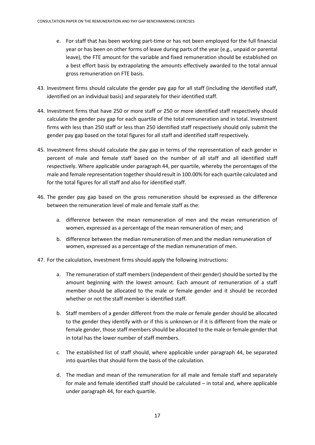- e. For staff that has been working part-time or has not been employed for the full financial year or has been on other forms of leave during parts of the year (e.g., unpaid or parental leave), the FTE amount for the variable and fixed remuneration should be established on a best effort basis by extrapolating the amounts effectively awarded to the total annual gross remuneration on FTE basis.
- 43. Investment firms should calculate the gender pay gap for all staff (including the identified staff, identified on an individual basis) and separately for their identified staff.
- 44. Investment firms that have 250 or more staff or 250 or more identified staff respectively should calculate the gender pay gap for each quartile of the total remuneration and in total. Investment firms with less than 250 staff or less than 250 identified staff respectively should only submit the gender pay gap based on the total figures for all staff and identified staff respectively.
- 45. Investment firms should calculate the pay gap in terms of the representation of each gender in percent of male and female staff based on the number of all staff and all identified staff respectively. Where applicable under paragraph 44, per quartile, whereby the percentages of the male and female representation together should result in 100.00% for each quartile calculated and for the total figures for all staff and also for identified staff.
- 46. The gender pay gap based on the gross remuneration should be expressed as the difference between the remuneration level of male and female staff as the:
	- a. difference between the mean remuneration of men and the mean remuneration of women, expressed as a percentage of the mean remuneration of men; and
	- b. difference between the median remuneration of men and the median remuneration of women, expressed as a percentage of the median remuneration of men.
- 47. For the calculation, investment firms should apply the following instructions:
	- a. The remuneration of staff members (independent of their gender) should be sorted by the amount beginning with the lowest amount. Each amount of remuneration of a staff member should be allocated to the male or female gender and it should be recorded whether or not the staff member is identified staff.
	- b. Staff members of a gender different from the male or female gender should be allocated to the gender they identify with or if this is unknown or if it is different from the male or female gender, those staff members should be allocated to the male or female gender that in total has the lower number of staff members.
	- c. The established list of staff should, where applicable under paragraph 44, be separated into quartiles that should form the basis of the calculation.
	- d. The median and mean of the remuneration for all male and female staff and separately for male and female identified staff should be calculated – in total and, where applicable under paragraph 44, for each quartile.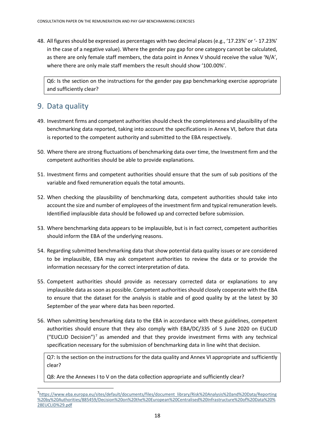48. All figures should be expressed as percentages with two decimal places (e.g., '17.23%' or '- 17.23%' in the case of a negative value). Where the gender pay gap for one category cannot be calculated, as there are only female staff members, the data point in Annex V should receive the value 'N/A', where there are only male staff members the result should show '100.00%'.

Q6: Is the section on the instructions for the gender pay gap benchmarking exercise appropriate and sufficiently clear?

#### 9. Data quality

- 49. Investment firms and competent authorities should check the completeness and plausibility of the benchmarking data reported, taking into account the specifications in Annex VI, before that data is reported to the competent authority and submitted to the EBA respectively.
- 50. Where there are strong fluctuations of benchmarking data over time, the Investment firm and the competent authorities should be able to provide explanations.
- 51. Investment firms and competent authorities should ensure that the sum of sub positions of the variable and fixed remuneration equals the total amounts.
- 52. When checking the plausibility of benchmarking data, competent authorities should take into account the size and number of employees of the investment firm and typical remuneration levels. Identified implausible data should be followed up and corrected before submission.
- 53. Where benchmarking data appears to be implausible, but is in fact correct, competent authorities should inform the EBA of the underlying reasons.
- 54. Regarding submitted benchmarking data that show potential data quality issues or are considered to be implausible, EBA may ask competent authorities to review the data or to provide the information necessary for the correct interpretation of data.
- 55. Competent authorities should provide as necessary corrected data or explanations to any implausible data as soon as possible. Competent authorities should closely cooperate with the EBA to ensure that the dataset for the analysis is stable and of good quality by at the latest by 30 September of the year where data has been reported.
- 56. When submitting benchmarking data to the EBA in accordance with these guidelines, competent authorities should ensure that they also comply with EBA/DC/335 of 5 June 2020 on EUCLID ("EUCLID Decision")<sup>7</sup> as amended and that they provide investment firms with any technical specification necessary for the submission of benchmarking data in line wiht that decision.

Q7: Is the section on the instructions for the data quality and Annex VI appropriate and sufficiently clear?

Q8: Are the Annexes I to V on the data collection appropriate and sufficiently clear?

<sup>7&</sup>lt;br>[https://www.eba.europa.eu/sites/default/documents/files/document\\_library/Risk%20Analysis%20and%20Data/Reporting](https://www.eba.europa.eu/sites/default/documents/files/document_library/Risk%20Analysis%20and%20Data/Reporting%20by%20Authorities/885459/Decision%20on%20the%20European%20Centralised%20Infrastructure%20of%20Data%20%28EUCLID%29.pdf) [%20by%20Authorities/885459/Decision%20on%20the%20European%20Centralised%20Infrastructure%20of%20Data%20%](https://www.eba.europa.eu/sites/default/documents/files/document_library/Risk%20Analysis%20and%20Data/Reporting%20by%20Authorities/885459/Decision%20on%20the%20European%20Centralised%20Infrastructure%20of%20Data%20%28EUCLID%29.pdf) [28EUCLID%29.pdf](https://www.eba.europa.eu/sites/default/documents/files/document_library/Risk%20Analysis%20and%20Data/Reporting%20by%20Authorities/885459/Decision%20on%20the%20European%20Centralised%20Infrastructure%20of%20Data%20%28EUCLID%29.pdf)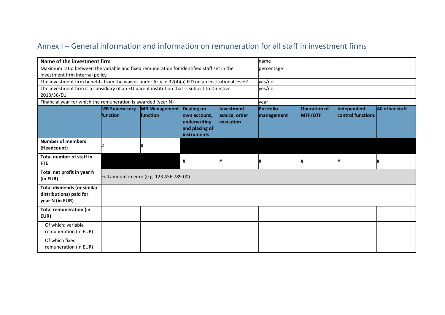### Annex I – General information and information on remuneration for all staff in investment firms

| Name of the investment firm                                                                        |                                   |                                           |                                                                                    |                                                 | name                    |                                       |                                  |                        |
|----------------------------------------------------------------------------------------------------|-----------------------------------|-------------------------------------------|------------------------------------------------------------------------------------|-------------------------------------------------|-------------------------|---------------------------------------|----------------------------------|------------------------|
| Maximum ratio between the variable and fixed remuneration for identified staff set in the          |                                   |                                           |                                                                                    |                                                 | percentage              |                                       |                                  |                        |
| investment firm internal policy                                                                    |                                   |                                           |                                                                                    |                                                 |                         |                                       |                                  |                        |
| The investment firm benefits from the waiver under Article 32(4)(a) IFD on an institutional level? |                                   |                                           |                                                                                    |                                                 | yes/no                  |                                       |                                  |                        |
| The investment firm is a subsidiary of an EU parent institution that is subject to Directive       |                                   |                                           |                                                                                    |                                                 | yes/no                  |                                       |                                  |                        |
| 2013/36/EU                                                                                         |                                   |                                           |                                                                                    |                                                 |                         |                                       |                                  |                        |
| Financial year for which the remuneration is awarded (year N)                                      |                                   |                                           |                                                                                    |                                                 | year                    |                                       |                                  |                        |
|                                                                                                    | <b>MB Supervisory</b><br>function | <b>MB Management</b><br><b>function</b>   | <b>Dealing on</b><br>own account,<br>underwriting<br>and placing of<br>instruments | <b>Investment</b><br>advice, order<br>execution | Portfolio<br>management | <b>Operation of</b><br><b>MTF/OTF</b> | Independent<br>control functions | <b>All other staff</b> |
| <b>Number of members</b><br>(Headcount)                                                            |                                   |                                           |                                                                                    |                                                 |                         |                                       |                                  |                        |
| Total number of staff in<br><b>FTE</b>                                                             |                                   |                                           | #                                                                                  |                                                 |                         | #                                     | #                                |                        |
| Total net profit in year N<br>(in EUR)                                                             |                                   | Full amount in euro (e.g. 123 456 789.00) |                                                                                    |                                                 |                         |                                       |                                  |                        |
| <b>Total dividends (or similar</b><br>distributions) paid for<br>year N (in EUR)                   |                                   |                                           |                                                                                    |                                                 |                         |                                       |                                  |                        |
| <b>Total remuneration (in</b><br>EUR)                                                              |                                   |                                           |                                                                                    |                                                 |                         |                                       |                                  |                        |
| Of which: variable<br>remuneration (in EUR)                                                        |                                   |                                           |                                                                                    |                                                 |                         |                                       |                                  |                        |
| Of which fixed<br>remuneration (in EUR)                                                            |                                   |                                           |                                                                                    |                                                 |                         |                                       |                                  |                        |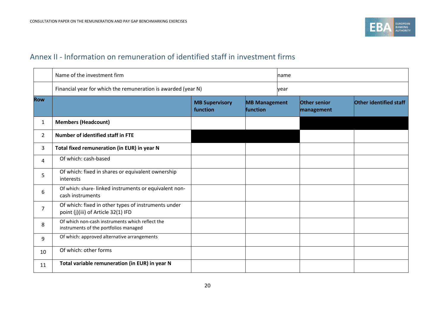

#### Annex II - Information on remuneration of identified staff in investment firms

|                | Name of the investment firm<br>name                                                        |                                   |                                         |      |                                   |                        |
|----------------|--------------------------------------------------------------------------------------------|-----------------------------------|-----------------------------------------|------|-----------------------------------|------------------------|
|                | Financial year for which the remuneration is awarded (year N)                              |                                   |                                         | vear |                                   |                        |
| <b>Row</b>     |                                                                                            | <b>MB Supervisory</b><br>function | <b>MB Management</b><br><b>function</b> |      | <b>Other senior</b><br>management | Other identified staff |
| 1              | <b>Members (Headcount)</b>                                                                 |                                   |                                         |      |                                   |                        |
| $\overline{2}$ | Number of identified staff in FTE                                                          |                                   |                                         |      |                                   |                        |
| 3              | Total fixed remuneration (in EUR) in year N                                                |                                   |                                         |      |                                   |                        |
| 4              | Of which: cash-based                                                                       |                                   |                                         |      |                                   |                        |
| 5              | Of which: fixed in shares or equivalent ownership<br>interests                             |                                   |                                         |      |                                   |                        |
| 6              | Of which: share-linked instruments or equivalent non-<br>cash instruments                  |                                   |                                         |      |                                   |                        |
| $\overline{7}$ | Of which: fixed in other types of instruments under<br>point (j)(iii) of Article 32(1) IFD |                                   |                                         |      |                                   |                        |
| 8              | Of which non-cash instruments which reflect the<br>instruments of the portfolios managed   |                                   |                                         |      |                                   |                        |
| 9              | Of which: approved alternative arrangements                                                |                                   |                                         |      |                                   |                        |
| 10             | Of which: other forms                                                                      |                                   |                                         |      |                                   |                        |
| 11             | Total variable remuneration (in EUR) in year N                                             |                                   |                                         |      |                                   |                        |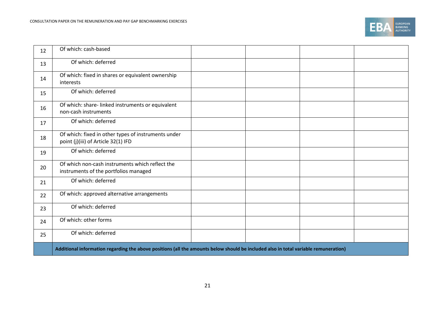

| 12 | Of which: cash-based                                                                                                                |  |  |
|----|-------------------------------------------------------------------------------------------------------------------------------------|--|--|
| 13 | Of which: deferred                                                                                                                  |  |  |
| 14 | Of which: fixed in shares or equivalent ownership<br>interests                                                                      |  |  |
| 15 | Of which: deferred                                                                                                                  |  |  |
| 16 | Of which: share-linked instruments or equivalent<br>non-cash instruments                                                            |  |  |
| 17 | Of which: deferred                                                                                                                  |  |  |
| 18 | Of which: fixed in other types of instruments under<br>point (j)(iii) of Article 32(1) IFD                                          |  |  |
| 19 | Of which: deferred                                                                                                                  |  |  |
| 20 | Of which non-cash instruments which reflect the<br>instruments of the portfolios managed                                            |  |  |
| 21 | Of which: deferred                                                                                                                  |  |  |
| 22 | Of which: approved alternative arrangements                                                                                         |  |  |
| 23 | Of which: deferred                                                                                                                  |  |  |
| 24 | Of which: other forms                                                                                                               |  |  |
| 25 | Of which: deferred                                                                                                                  |  |  |
|    | Additional information regarding the above positions (all the amounts below should be included also in total variable remuneration) |  |  |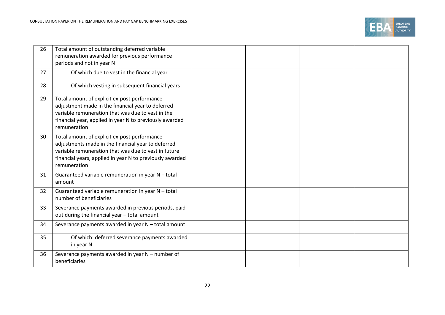

| 26 | Total amount of outstanding deferred variable<br>remuneration awarded for previous performance<br>periods and not in year N                                                                                                            |  |  |
|----|----------------------------------------------------------------------------------------------------------------------------------------------------------------------------------------------------------------------------------------|--|--|
| 27 | Of which due to vest in the financial year                                                                                                                                                                                             |  |  |
| 28 | Of which vesting in subsequent financial years                                                                                                                                                                                         |  |  |
| 29 | Total amount of explicit ex-post performance<br>adjustment made in the financial year to deferred<br>variable remuneration that was due to vest in the<br>financial year, applied in year N to previously awarded<br>remuneration      |  |  |
| 30 | Total amount of explicit ex-post performance<br>adjustments made in the financial year to deferred<br>variable remuneration that was due to vest in future<br>financial years, applied in year N to previously awarded<br>remuneration |  |  |
| 31 | Guaranteed variable remuneration in year N - total<br>amount                                                                                                                                                                           |  |  |
| 32 | Guaranteed variable remuneration in year N - total<br>number of beneficiaries                                                                                                                                                          |  |  |
| 33 | Severance payments awarded in previous periods, paid<br>out during the financial year - total amount                                                                                                                                   |  |  |
| 34 | Severance payments awarded in year N - total amount                                                                                                                                                                                    |  |  |
| 35 | Of which: deferred severance payments awarded<br>in year N                                                                                                                                                                             |  |  |
| 36 | Severance payments awarded in year N - number of<br>beneficiaries                                                                                                                                                                      |  |  |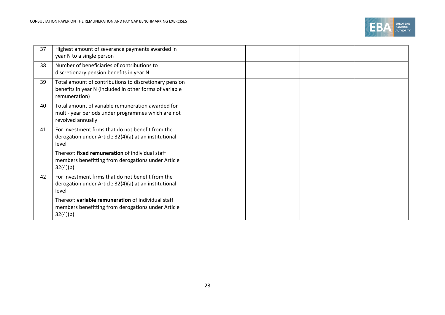

| 37 | Highest amount of severance payments awarded in<br>year N to a single person                                                       |  |  |
|----|------------------------------------------------------------------------------------------------------------------------------------|--|--|
| 38 | Number of beneficiaries of contributions to<br>discretionary pension benefits in year N                                            |  |  |
| 39 | Total amount of contributions to discretionary pension<br>benefits in year N (included in other forms of variable<br>remuneration) |  |  |
| 40 | Total amount of variable remuneration awarded for<br>multi-year periods under programmes which are not<br>revolved annually        |  |  |
| 41 | For investment firms that do not benefit from the<br>derogation under Article 32(4)(a) at an institutional<br>level                |  |  |
|    | Thereof: fixed remuneration of individual staff<br>members benefitting from derogations under Article<br>32(4)(b)                  |  |  |
| 42 | For investment firms that do not benefit from the<br>derogation under Article 32(4)(a) at an institutional<br>level                |  |  |
|    | Thereof: variable remuneration of individual staff<br>members benefitting from derogations under Article<br>32(4)(b)               |  |  |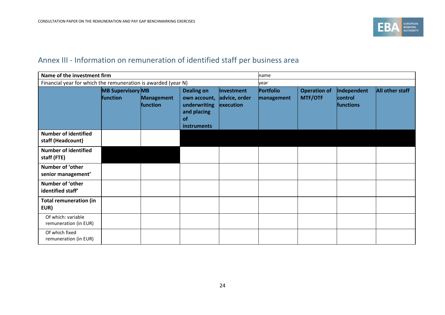

### Annex III - Information on remuneration of identified staff per business area

|                                                  | Name of the investment firm                                   |                               |                                                                                              |                                          | name                    |                                       |                                     |                 |
|--------------------------------------------------|---------------------------------------------------------------|-------------------------------|----------------------------------------------------------------------------------------------|------------------------------------------|-------------------------|---------------------------------------|-------------------------------------|-----------------|
|                                                  | Financial year for which the remuneration is awarded (year N) |                               |                                                                                              |                                          | vear                    |                                       |                                     |                 |
|                                                  | <b>MB Supervisory MB</b><br>function                          | <b>Management</b><br>function | <b>Dealing on</b><br>own account,<br>underwriting<br>and placing<br>of<br><b>instruments</b> | Investment<br>advice, order<br>execution | Portfolio<br>management | <b>Operation of</b><br><b>MTF/OTF</b> | Independent<br>control<br>functions | All other staff |
| <b>Number of identified</b><br>staff (Headcount) |                                                               |                               |                                                                                              |                                          |                         |                                       |                                     |                 |
| <b>Number of identified</b><br>staff (FTE)       |                                                               |                               |                                                                                              |                                          |                         |                                       |                                     |                 |
| Number of 'other<br>senior management'           |                                                               |                               |                                                                                              |                                          |                         |                                       |                                     |                 |
| Number of 'other<br>identified staff'            |                                                               |                               |                                                                                              |                                          |                         |                                       |                                     |                 |
| <b>Total remuneration (in</b><br>EUR)            |                                                               |                               |                                                                                              |                                          |                         |                                       |                                     |                 |
| Of which: variable<br>remuneration (in EUR)      |                                                               |                               |                                                                                              |                                          |                         |                                       |                                     |                 |
| Of which fixed<br>remuneration (in EUR)          |                                                               |                               |                                                                                              |                                          |                         |                                       |                                     |                 |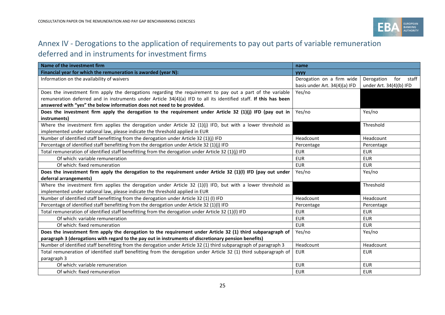

### Annex IV - Derogations to the application of requirements to pay out parts of variable remuneration

### deferred and in instruments for investment firms

| Name of the investment firm<br>name                                                                               |                               |                            |  |
|-------------------------------------------------------------------------------------------------------------------|-------------------------------|----------------------------|--|
| Financial year for which the remuneration is awarded (year N):                                                    | <b>YYYY</b>                   |                            |  |
| Information on the availability of waivers                                                                        | Derogation on a firm wide     | Derogation<br>for<br>staff |  |
|                                                                                                                   | basis under Art. 34(4)(a) IFD | under Art. 34(4)(b) IFD    |  |
| Does the investment firm apply the derogations regarding the requirement to pay out a part of the variable        | Yes/no                        |                            |  |
| remuneration deferred and in instruments under Article 34(4)(a) IFD to all its identified staff. If this has been |                               |                            |  |
| answered with "yes" the below information does not need to be provided.                                           |                               |                            |  |
| Does the investment firm apply the derogation to the requirement under Article 32 (1)(j) IFD (pay out in          | Yes/no                        | Yes/no                     |  |
| instruments)                                                                                                      |                               |                            |  |
| Where the investment firm applies the derogation under Article $32$ (1)(j) IFD, but with a lower threshold as     |                               | Threshold                  |  |
| implemented under national law, please indicate the threshold applied in EUR                                      |                               |                            |  |
| Number of identified staff benefitting from the derogation under Article 32 (1)(j) IFD                            | Headcount                     | Headcount                  |  |
| Percentage of identified staff benefitting from the derogation under Article 32 (1)(j) IFD                        | Percentage                    | Percentage                 |  |
| Total remuneration of identified staff benefitting from the derogation under Article 32 (1)(j) IFD                | <b>EUR</b>                    | <b>EUR</b>                 |  |
| Of which: variable remuneration                                                                                   | <b>EUR</b>                    | <b>EUR</b>                 |  |
| Of which: fixed remuneration                                                                                      | <b>EUR</b>                    | <b>EUR</b>                 |  |
| Does the investment firm apply the derogation to the requirement under Article 32 (1)(I) IFD (pay out under       | Yes/no                        | Yes/no                     |  |
| deferral arrangements)                                                                                            |                               |                            |  |
| Where the investment firm applies the derogation under Article $32$ (1)(I) IFD, but with a lower threshold as     |                               | Threshold                  |  |
| implemented under national law, please indicate the threshold applied in EUR                                      |                               |                            |  |
| Number of identified staff benefitting from the derogation under Article 32 (1) (I) IFD                           | Headcount                     | Headcount                  |  |
| Percentage of identified staff benefitting from the derogation under Article 32 (1)(I) IFD                        | Percentage                    | Percentage                 |  |
| Total remuneration of identified staff benefitting from the derogation under Article 32 (1)(I) IFD                | <b>EUR</b>                    | <b>EUR</b>                 |  |
| Of which: variable remuneration                                                                                   | <b>EUR</b>                    | <b>EUR</b>                 |  |
| Of which: fixed remuneration                                                                                      | <b>EUR</b>                    | <b>EUR</b>                 |  |
| Does the investment firm apply the derogation to the requirement under Article 32 (1) third subparagraph of       | Yes/no                        | Yes/no                     |  |
| paragraph 3 (derogations with regard to the pay out in instruments of discretionary pension benefits)             |                               |                            |  |
| Number of identified staff benefitting from the derogation under Article 32 (1) third subparagraph of paragraph 3 | Headcount                     | Headcount                  |  |
| Total remuneration of identified staff benefitting from the derogation under Article 32 (1) third subparagraph of | <b>EUR</b>                    | <b>EUR</b>                 |  |
| paragraph 3                                                                                                       |                               |                            |  |
| Of which: variable remuneration                                                                                   | <b>EUR</b>                    | <b>EUR</b>                 |  |
| Of which: fixed remuneration                                                                                      | <b>EUR</b>                    | <b>EUR</b>                 |  |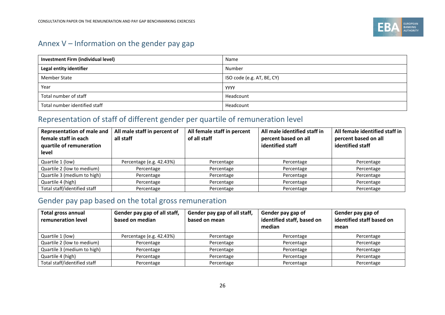

### Annex V – Information on the gender pay gap

| <b>Investment Firm (individual level)</b> | Name                       |
|-------------------------------------------|----------------------------|
| Legal entity identifier                   | Number                     |
| <b>Member State</b>                       | ISO code (e.g. AT, BE, CY) |
| Year                                      | <b>YYYY</b>                |
| Total number of staff                     | Headcount                  |
| Total number identified staff             | Headcount                  |

### Representation of staff of different gender per quartile of remuneration level

| <b>Representation of male and</b><br>female staff in each<br>quartile of remuneration<br>level | All male staff in percent of<br>all staff | All female staff in percent<br>of all staff | All male identified staff in<br>percent based on all<br>identified staff | All female identified staff in<br>percent based on all<br>identified staff |
|------------------------------------------------------------------------------------------------|-------------------------------------------|---------------------------------------------|--------------------------------------------------------------------------|----------------------------------------------------------------------------|
| Quartile 1 (low)                                                                               | Percentage (e.g. 42.43%)                  | Percentage                                  | Percentage                                                               | Percentage                                                                 |
| Quartile 2 (low to medium)                                                                     | Percentage                                | Percentage                                  | Percentage                                                               | Percentage                                                                 |
| Quartile 3 (medium to high)                                                                    | Percentage                                | Percentage                                  | Percentage                                                               | Percentage                                                                 |
| Quartile 4 (high)                                                                              | Percentage                                | Percentage                                  | Percentage                                                               | Percentage                                                                 |
| Total staff/identified staff                                                                   | Percentage                                | Percentage                                  | Percentage                                                               | Percentage                                                                 |

### Gender pay pap based on the total gross remuneration

| <b>Total gross annual</b><br>remuneration level | Gender pay gap of all staff,<br>based on median | Gender pay gap of all staff,<br>based on mean | Gender pay gap of<br>identified staff, based on<br>median | Gender pay gap of<br>identified staff based on<br>mean |
|-------------------------------------------------|-------------------------------------------------|-----------------------------------------------|-----------------------------------------------------------|--------------------------------------------------------|
| Quartile 1 (low)                                | Percentage (e.g. 42.43%)                        | Percentage                                    | Percentage                                                | Percentage                                             |
| Quartile 2 (low to medium)                      | Percentage                                      | Percentage                                    | Percentage                                                | Percentage                                             |
| Quartile 3 (medium to high)                     | Percentage                                      | Percentage                                    | Percentage                                                | Percentage                                             |
| Quartile 4 (high)                               | Percentage                                      | Percentage                                    | Percentage                                                | Percentage                                             |
| Total staff/identified staff                    | Percentage                                      | Percentage                                    | Percentage                                                | Percentage                                             |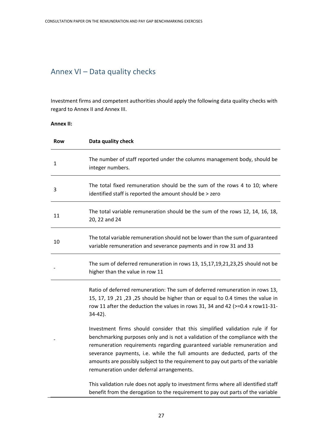### Annex VI – Data quality checks

Investment firms and competent authorities should apply the following data quality checks with regard to Annex II and Annex III.

#### **Annex II:**

| <b>Row</b> | Data quality check                                                                                                                                                                                                                                                                                                                                                                                                                                       |
|------------|----------------------------------------------------------------------------------------------------------------------------------------------------------------------------------------------------------------------------------------------------------------------------------------------------------------------------------------------------------------------------------------------------------------------------------------------------------|
| 1          | The number of staff reported under the columns management body, should be<br>integer numbers.                                                                                                                                                                                                                                                                                                                                                            |
| 3          | The total fixed remuneration should be the sum of the rows 4 to 10; where<br>identified staff is reported the amount should be > zero                                                                                                                                                                                                                                                                                                                    |
| 11         | The total variable remuneration should be the sum of the rows 12, 14, 16, 18,<br>20, 22 and 24                                                                                                                                                                                                                                                                                                                                                           |
| 10         | The total variable remuneration should not be lower than the sum of guaranteed<br>variable remuneration and severance payments and in row 31 and 33                                                                                                                                                                                                                                                                                                      |
|            | The sum of deferred remuneration in rows 13, 15,17,19,21,23,25 should not be<br>higher than the value in row 11                                                                                                                                                                                                                                                                                                                                          |
|            | Ratio of deferred remuneration: The sum of deferred remuneration in rows 13,<br>15, 17, 19, 21, 25, 25 should be higher than or equal to 0.4 times the value in<br>row 11 after the deduction the values in rows 31, 34 and 42 ( $> = 0.4$ x row11-31-<br>$34-42$ ).                                                                                                                                                                                     |
|            | Investment firms should consider that this simplified validation rule if for<br>benchmarking purposes only and is not a validation of the compliance with the<br>remuneration requirements regarding guaranteed variable remuneration and<br>severance payments, i.e. while the full amounts are deducted, parts of the<br>amounts are possibly subject to the requirement to pay out parts of the variable<br>remuneration under deferral arrangements. |
|            | This validation rule does not apply to investment firms where all identified staff<br>benefit from the derogation to the requirement to pay out parts of the variable                                                                                                                                                                                                                                                                                    |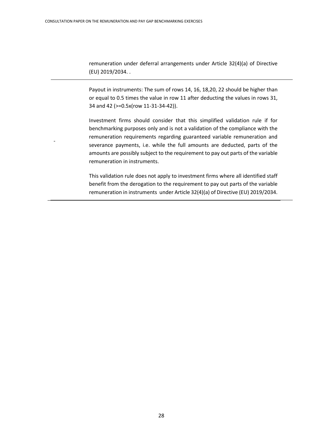-

remuneration under deferral arrangements under Article 32(4)(a) of Directive (EU) 2019/2034. .

Payout in instruments: The sum of rows 14, 16, 18,20, 22 should be higher than or equal to 0.5 times the value in row 11 after deducting the values in rows 31, 34 and 42 (>=0.5x(row 11-31-34-42)).

Investment firms should consider that this simplified validation rule if for benchmarking purposes only and is not a validation of the compliance with the remuneration requirements regarding guaranteed variable remuneration and severance payments, i.e. while the full amounts are deducted, parts of the amounts are possibly subject to the requirement to pay out parts of the variable remuneration in instruments.

This validation rule does not apply to investment firms where all identified staff benefit from the derogation to the requirement to pay out parts of the variable remuneration in instruments under Article 32(4)(a) of Directive (EU) 2019/2034.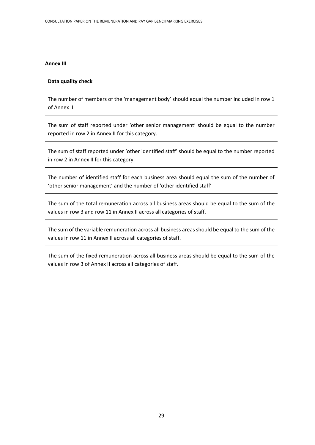#### **Annex III**

#### **Data quality check**

The number of members of the 'management body' should equal the number included in row 1 of Annex II.

The sum of staff reported under 'other senior management' should be equal to the number reported in row 2 in Annex II for this category.

The sum of staff reported under 'other identified staff' should be equal to the number reported in row 2 in Annex II for this category.

The number of identified staff for each business area should equal the sum of the number of 'other senior management' and the number of 'other identified staff'

The sum of the total remuneration across all business areas should be equal to the sum of the values in row 3 and row 11 in Annex II across all categories of staff.

The sum of the variable remuneration across all business areas should be equal to the sum of the values in row 11 in Annex II across all categories of staff.

The sum of the fixed remuneration across all business areas should be equal to the sum of the values in row 3 of Annex II across all categories of staff.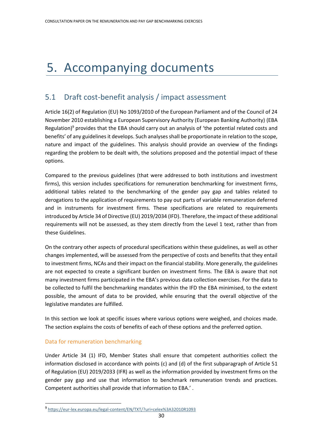# 5. Accompanying documents

#### 5.1 Draft cost-benefit analysis / impact assessment

Article 16(2) of Regulation (EU) No 1093/2010 of the European Parliament and of the Council of 24 November 2010 establishing a European Supervisory Authority (European Banking Authority) (EBA Regulation) <sup>9</sup> provides that the EBA should carry out an analysis of 'the potential related costs and benefits' of any guidelines it develops. Such analyses shall be proportionate in relation to the scope, nature and impact of the guidelines. This analysis should provide an overview of the findings regarding the problem to be dealt with, the solutions proposed and the potential impact of these options.

Compared to the previous guidelines (that were addressed to both institutions and investment firms), this version includes specifications for remuneration benchmarking for investment firms, additional tables related to the benchmarking of the gender pay gap and tables related to derogations to the application of requirements to pay out parts of variable remuneration deferred and in instruments for investment firms. These specifications are related to requirements introduced by Article 34 of Directive (EU) 2019/2034 (IFD). Therefore, the impact of these additional requirements will not be assessed, as they stem directly from the Level 1 text, rather than from these Guidelines.

On the contrary other aspects of procedural specifications within these guidelines, as well as other changes implemented, will be assessed from the perspective of costs and benefits that they entail to investment firms, NCAs and their impact on the financial stability. More generally, the guidelines are not expected to create a significant burden on investment firms. The EBA is aware that not many investment firms participated in the EBA's previous data collection exercises. For the data to be collected to fulfil the benchmarking mandates within the IFD the EBA minimised, to the extent possible, the amount of data to be provided, while ensuring that the overall objective of the legislative mandates are fulfilled.

In this section we look at specific issues where various options were weighed, and choices made. The section explains the costs of benefits of each of these options and the preferred option.

#### Data for remuneration benchmarking

Under Article 34 (1) IFD, Member States shall ensure that competent authorities collect the information disclosed in accordance with points (c) and (d) of the first subparagraph of Article 51 of Regulation (EU) 2019/2033 (IFR) as well as the information provided by investment firms on the gender pay gap and use that information to benchmark remuneration trends and practices. Competent authorities shall provide that information to EBA.' .

<sup>9</sup> <https://eur-lex.europa.eu/legal-content/EN/TXT/?uri=celex%3A32010R1093>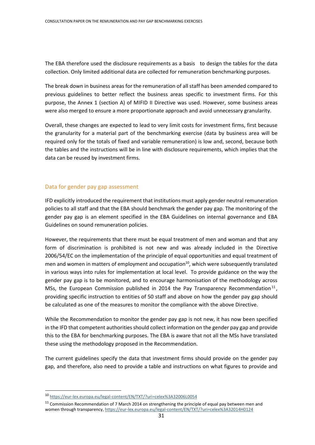The EBA therefore used the disclosure requirements as a basis to design the tables for the data collection. Only limited additional data are collected for remuneration benchmarking purposes.

The break down in business areas for the remuneration of all staff has been amended compared to previous guidelines to better reflect the business areas specific to investment firms. For this purpose, the Annex 1 (section A) of MIFID II Directive was used. However, some business areas were also merged to ensure a more proportionate approach and avoid unnecessary granularity.

Overall, these changes are expected to lead to very limit costs for investment firms, first because the granularity for a material part of the benchmarking exercise (data by business area will be required only for the totals of fixed and variable remuneration) is low and, second, because both the tables and the instructions will be in line with disclosure requirements, which implies that the data can be reused by investment firms.

#### Data for gender pay gap assessment

IFD explicitly introduced the requirement that institutions must apply gender neutral remuneration policies to all staff and that the EBA should benchmark the gender pay gap. The monitoring of the gender pay gap is an element specified in the EBA Guidelines on internal governance and EBA Guidelines on sound remuneration policies.

However, the requirements that there must be equal treatment of men and woman and that any form of discrimination is prohibited is not new and was already included in the Directive 2006/54/EC on the implementation of the principle of equal opportunities and equal treatment of men and women in matters of employment and occupation $10$ , which were subsequently translated in various ways into rules for implementation at local level. To provide guidance on the way the gender pay gap is to be monitored, and to encourage harmonisation of the methodology across MSs, the European Commission published in 2014 the Pay Transparency Recommendation<sup>11</sup>, providing specific instruction to entities of 50 staff and above on how the gender pay gap should be calculated as one of the measures to monitor the compliance with the above Directive.

While the Recommendation to monitor the gender pay gap is not new, it has now been specified in the IFD that competent authorities should collect information on the gender pay gap and provide this to the EBA for benchmarking purposes. The EBA is aware that not all the MSs have translated these using the methodology proposed in the Recommendation.

The current guidelines specify the data that investment firms should provide on the gender pay gap, and therefore, also need to provide a table and instructions on what figures to provide and

<sup>10</sup> <https://eur-lex.europa.eu/legal-content/EN/TXT/?uri=celex%3A32006L0054>

<sup>&</sup>lt;sup>11</sup> Commission Recommendation of 7 March 2014 on strengthening the principle of equal pay between men and women through transparency[, https://eur-lex.europa.eu/legal-content/EN/TXT/?uri=celex%3A32014H0124](https://eur-lex.europa.eu/legal-content/EN/TXT/?uri=celex%3A32014H0124)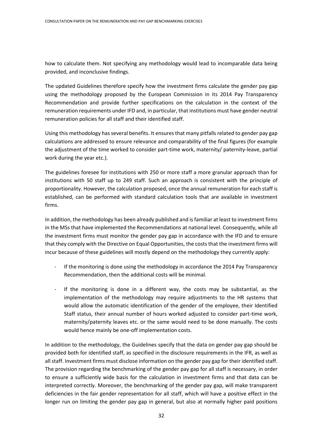how to calculate them. Not specifying any methodology would lead to incomparable data being provided, and inconclusive findings.

The updated Guidelines therefore specify how the investment firms calculate the gender pay gap using the methodology proposed by the European Commission in its 2014 Pay Transparency Recommendation and provide further specifications on the calculation in the context of the remuneration requirements under IFD and, in particular, that institutions must have gender neutral remuneration policies for all staff and their identified staff.

Using this methodology has several benefits. It ensures that many pitfalls related to gender pay gap calculations are addressed to ensure relevance and comparability of the final figures (for example the adjustment of the time worked to consider part-time work, maternity/ paternity-leave, partial work during the year etc.).

The guidelines foresee for institutions with 250 or more staff a more granular approach than for institutions with 50 staff up to 249 staff. Such an approach is consistent with the principle of proportionality. However, the calculation proposed, once the annual remuneration for each staff is established, can be performed with standard calculation tools that are available in investment firms.

In addition, the methodology has been already published and is familiar at least to investment firms in the MSs that have implemented the Recommendations at national level. Consequently, while all the investment firms must monitor the gender pay gap in accordance with the IFD and to ensure that they comply with the Directive on Equal Opportunities, the costs that the investment firms will incur because of these guidelines will mostly depend on the methodology they currently apply:

- If the monitoring is done using the methodology in accordance the 2014 Pay Transparency Recommendation, then the additional costs will be minimal.
- If the monitoring is done in a different way, the costs may be substantial, as the implementation of the methodology may require adjustments to the HR systems that would allow the automatic identification of the gender of the employee, their Identified Staff status, their annual number of hours worked adjusted to consider part-time work, maternity/paternity leaves etc. or the same would need to be done manually. The costs would hence mainly be one-off implementation costs.

In addition to the methodology, the Guidelines specify that the data on gender pay gap should be provided both for identified staff, as specified in the disclosure requirements in the IFR, as well as all staff. Investment firms must disclose information on the gender pay gap for their identified staff. The provision regarding the benchmarking of the gender pay gap for all staff is necessary, in order to ensure a sufficiently wide basis for the calculation in investment firms and that data can be interpreted correctly. Moreover, the benchmarking of the gender pay gap, will make transparent deficiencies in the fair gender representation for all staff, which will have a positive effect in the longer run on limiting the gender pay gap in general, but also at normally higher paid positions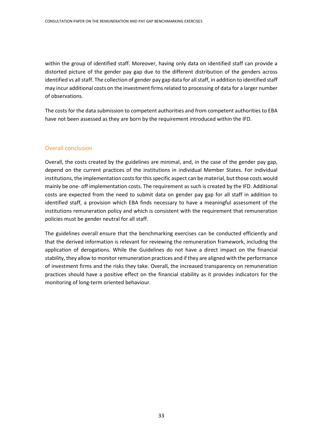within the group of identified staff. Moreover, having only data on identified staff can provide a distorted picture of the gender pay gap due to the different distribution of the genders across identified vs all staff. The collection of gender pay gap data for all staff, in addition to identified staff may incur additional costs on the investment firms related to processing of data for a larger number of observations.

The costs for the data submission to competent authorities and from competent authorities to EBA have not been assessed as they are born by the requirement introduced within the IFD.

#### Overall conclusion

Overall, the costs created by the guidelines are minimal, and, in the case of the gender pay gap, depend on the current practices of the institutions in individual Member States. For individual institutions, the implementation costs for this specific aspect can be material, but those costs would mainly be one- off implementation costs. The requirement as such is created by the IFD. Additional costs are expected from the need to submit data on gender pay gap for all staff in addition to identified staff, a provision which EBA finds necessary to have a meaningful assessment of the institutions remuneration policy and which is consistent with the requirement that remuneration policies must be gender neutral for all staff.

The guidelines overall ensure that the benchmarking exercises can be conducted efficiently and that the derived information is relevant for reviewing the remuneration framework, including the application of derogations. While the Guidelines do not have a direct impact on the financial stability, they allow to monitor remuneration practices and if they are aligned with the performance of investment firms and the risks they take. Overall, the increased transparency on remuneration practices should have a positive effect on the financial stability as it provides indicators for the monitoring of long-term oriented behaviour.